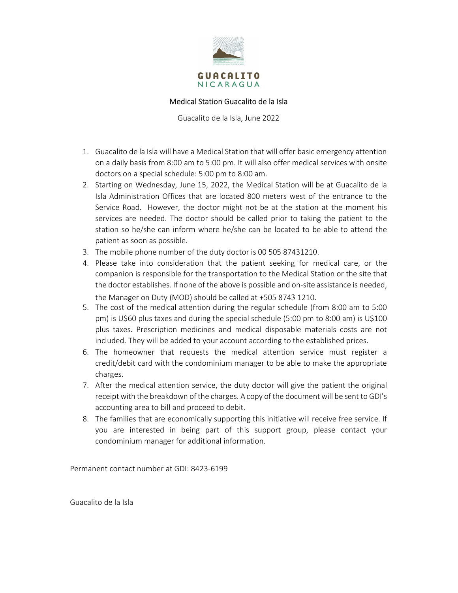

## Medical Station Guacalito de la Isla

Guacalito de la Isla, June 2022

- 1. Guacalito de la Isla will have a Medical Station that will offer basic emergency attention on a daily basis from 8:00 am to 5:00 pm. It will also offer medical services with onsite doctors on a special schedule: 5:00 pm to 8:00 am.
- 2. Starting on Wednesday, June 15, 2022, the Medical Station will be at Guacalito de la Isla Administration Offices that are located 800 meters west of the entrance to the Service Road. However, the doctor might not be at the station at the moment his services are needed. The doctor should be called prior to taking the patient to the station so he/she can inform where he/she can be located to be able to attend the patient as soon as possible.
- 3. The mobile phone number of the duty doctor is 00 505 87431210.
- 4. Please take into consideration that the patient seeking for medical care, or the companion is responsible for the transportation to the Medical Station or the site that the doctor establishes. If none of the above is possible and on-site assistance is needed, the Manager on Duty (MOD) should be called at +505 8743 1210.
- 5. The cost of the medical attention during the regular schedule (from 8:00 am to 5:00 pm) is U\$60 plus taxes and during the special schedule (5:00 pm to 8:00 am) is U\$100 plus taxes. Prescription medicines and medical disposable materials costs are not included. They will be added to your account according to the established prices.
- 6. The homeowner that requests the medical attention service must register a credit/debit card with the condominium manager to be able to make the appropriate charges.
- 7. After the medical attention service, the duty doctor will give the patient the original receipt with the breakdown of the charges. A copy of the document will be sent to GDI's accounting area to bill and proceed to debit.
- 8. The families that are economically supporting this initiative will receive free service. If you are interested in being part of this support group, please contact your condominium manager for additional information.

Permanent contact number at GDI: 8423-6199

Guacalito de la Isla